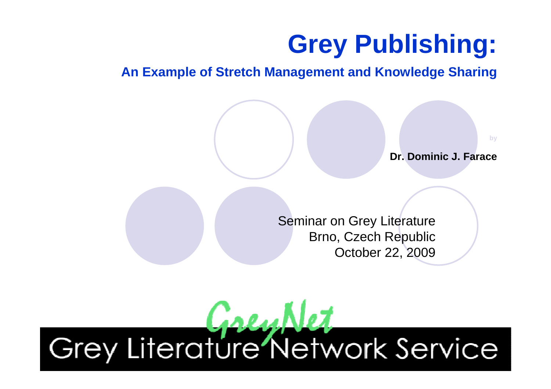## **Grey Publishing:**

#### **An Example of Stretch Management and Knowledge Sharing**

**by**

**Dr. Dominic J. Farace**

Seminar on Grey Literature Brno, Czech RepublicOctober 22, 2009

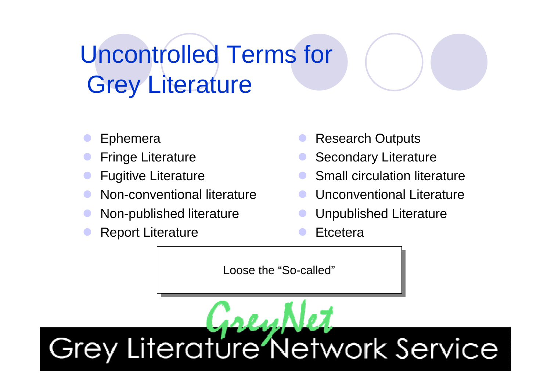## Uncontrolled Terms forGrey Literature

- $\bullet$ Ephemera
- $\bullet$ Fringe Literature
- $\bullet$ Fugitive Literature
- $\bullet$ Non-conventional literature
- $\bullet$ Non-published literature
- $\bullet$ Report Literature
- $\bullet$ Research Outputs
- Secondary Literature
- Small circulation literature
- $\bullet$ Unconventional Literature
- Unpublished Literature
- $\bullet$ **Etcetera**

Loose the "So-called"

Grey Literature Network Service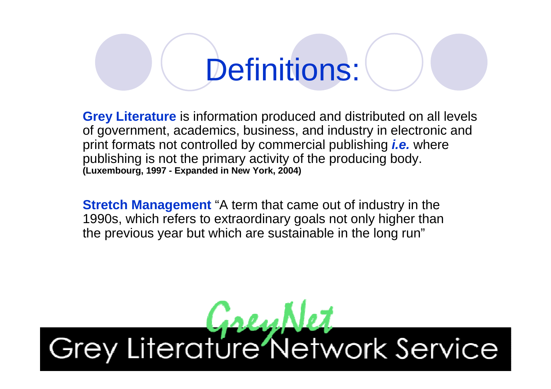# Definitions:

**Grey Literature** is information produced and distributed on all levels of government, academics, business, and industry in electronic and print formats not controlled by commercial publishing **i.e.** where publishing is not the primary activity of the producing body. **(Luxembourg, 1997 - Expanded in New York, 2004)**

**Stretch Management** "A term that came out of industry in the 1990s, which refers to extraordinary goals not only higher than the previous year but which are sustainable in the long run"

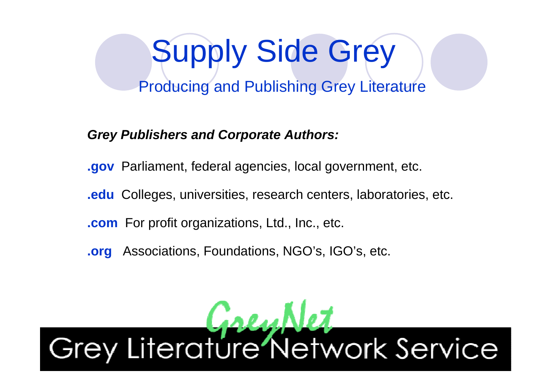# Supply Side Grey

Producing and Publishing Grey Literature

**Grey Publishers and Corporate Authors:**

**.gov** Parliament, federal agencies, local government, etc.

**.edu** Colleges, universities, research centers, laboratories, etc.

**.com** For profit organizations, Ltd., Inc., etc.

**.org**Associations, Foundations, NGO's, IGO's, etc.

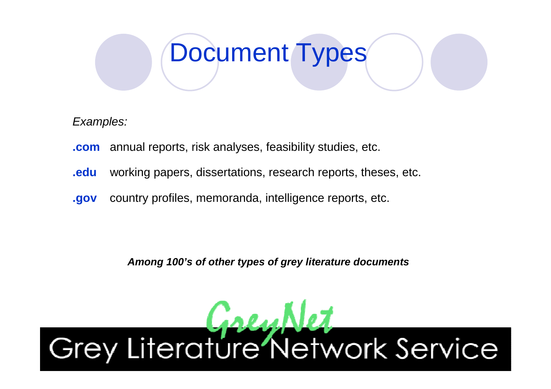## Document Types

Examples:

- **.com**annual reports, risk analyses, feasibility studies, etc.
- **.edu**working papers, dissertations, research reports, theses, etc.
- **.gov**country profiles, memoranda, intelligence reports, etc.

**Among 100's of other types of grey literature documents**

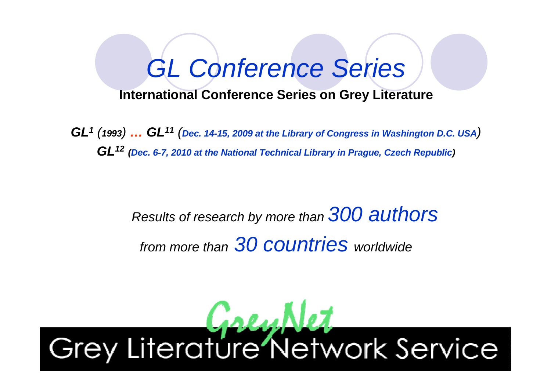## GL Conference Series

#### **International Conference Series on Grey Literature**

**GL1** (**1993**) **… GL<sup>11</sup>** (**Dec. 14-15, 2009 at the Library of Congress in Washington D.C. USA**)**GL12 (Dec. 6-7, 2010 at the National Technical Library in Prague, Czech Republic)**

#### Results of research by more than 300 authors from more thann 30 COUNtries worldwide

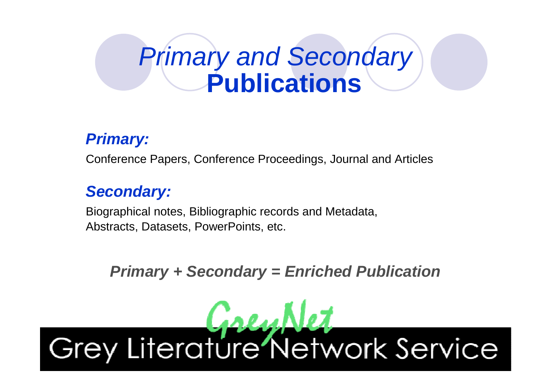## Primary and Secondary**Publications**

#### **Primary:**

Conference Papers, Conference Proceedings, Journal and Articles

#### **Secondary:**

Biographical notes, Bibliographic records and Metadata, Abstracts, Datasets, PowerPoints, etc.

**Primary + Secondary = Enriched Publication**

# Grey Literature Network Service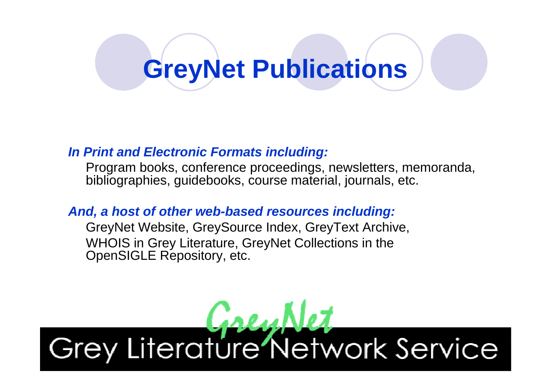## **GreyNet Publications**

#### **In Print and Electronic Formats including:**

Program books, conference proceedings, newsletters, memoranda,bibliographies, guidebooks, course material, journals, etc.

#### **And, a host of other web-based resources including:**

GreyNet Website, GreySource Index, GreyText Archive, WHOIS in Grey Literature, GreyNet Collections in theOpenSIGLE Repository, etc.

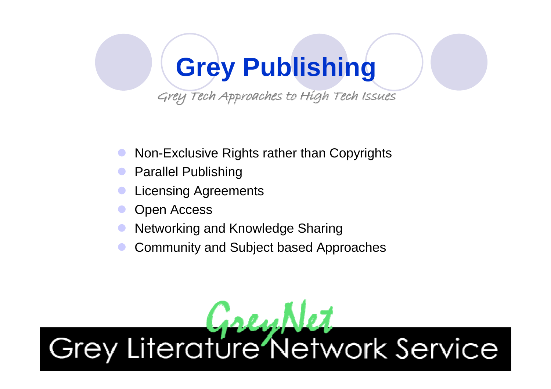## **Grey Publishing**

Grey Tech Approaches to High Tech Issues

- $\bullet$ Non-Exclusive Rights rather than Copyrights
- $\bullet$ Parallel Publishing
- $\bullet$ Licensing Agreements
- $\bullet$ Open Access
- $\bullet$ Networking and Knowledge Sharing
- $\bullet$ Community and Subject based Approaches